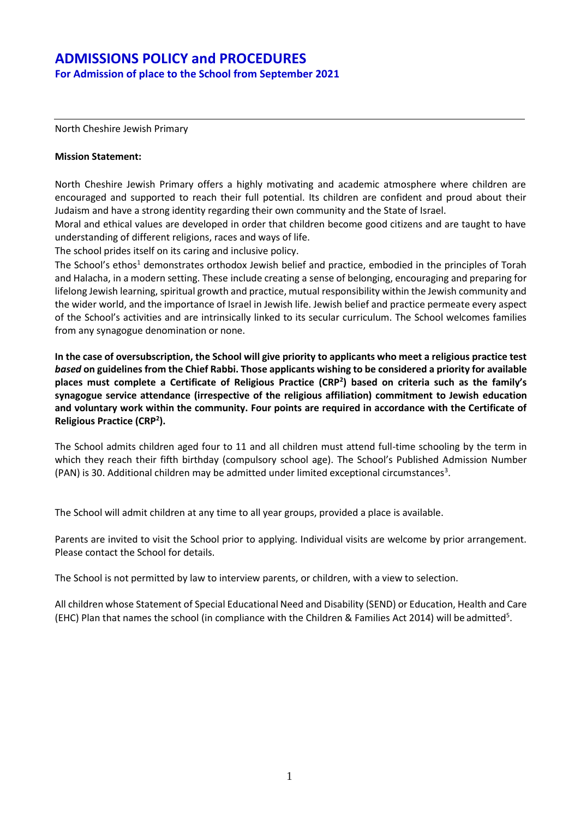**For Admission of place to the School from September 2021**

North Cheshire Jewish Primary

#### **Mission Statement:**

North Cheshire Jewish Primary offers a highly motivating and academic atmosphere where children are encouraged and supported to reach their full potential. Its children are confident and proud about their Judaism and have a strong identity regarding their own community and the State of Israel.

Moral and ethical values are developed in order that children become good citizens and are taught to have understanding of different religions, races and ways of life.

The school prides itself on its caring and inclusive policy.

The School's ethos<sup>1</sup> demonstrates orthodox Jewish belief and practice, embodied in the principles of Torah and Halacha, in a modern setting. These include creating a sense of belonging, encouraging and preparing for lifelong Jewish learning, spiritual growth and practice, mutual responsibility within the Jewish community and the wider world, and the importance of Israel in Jewish life. Jewish belief and practice permeate every aspect of the School's activities and are intrinsically linked to its secular curriculum. The School welcomes families from any synagogue denomination or none.

**In the case of oversubscription, the School will give priority to applicants who meet a religious practice test**  *based* **on guidelines from the Chief Rabbi. Those applicants wishing to be considered a priority for available places must complete a Certificate of Religious Practice (CRP<sup>2</sup> ) based on criteria such as the family's synagogue service attendance (irrespective of the religious affiliation) commitment to Jewish education and voluntary work within the community. Four points are required in accordance with the Certificate of Religious Practice (CRP<sup>2</sup> ).**

The School admits children aged four to 11 and all children must attend full-time schooling by the term in which they reach their fifth birthday (compulsory school age). The School's Published Admission Number (PAN) is 30. Additional children may be admitted under limited exceptional circumstances<sup>3</sup>.

The School will admit children at any time to all year groups, provided a place is available.

Parents are invited to visit the School prior to applying. Individual visits are welcome by prior arrangement. Please contact the School for details.

The School is not permitted by law to interview parents, or children, with a view to selection.

All children whose Statement of Special Educational Need and Disability (SEND) or Education, Health and Care (EHC) Plan that names the school (in compliance with the Children & Families Act 2014) will be admitted<sup>5</sup>.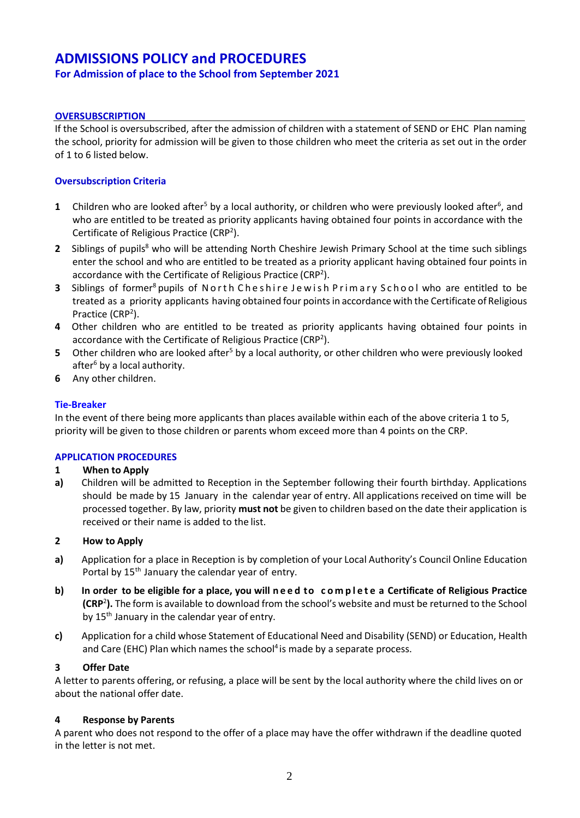## **For Admission of place to the School from September 2021**

## **OVERSUBSCRIPTION**

If the School is oversubscribed, after the admission of children with a statement of SEND or EHC Plan naming the school, priority for admission will be given to those children who meet the criteria as set out in the order of 1 to 6 listed below.

## **Oversubscription Criteria**

- **1** Children who are looked after<sup>5</sup> by a local authority, or children who were previously looked after<sup>6</sup>, and who are entitled to be treated as priority applicants having obtained four points in accordance with the Certificate of Religious Practice (CRP<sup>2</sup>).
- **2** Siblings of pupils<sup>8</sup> who will be attending North Cheshire Jewish Primary School at the time such siblings enter the school and who are entitled to be treated as a priority applicant having obtained four points in accordance with the Certificate of Religious Practice (CRP<sup>2</sup>).
- **3** Siblings of former<sup>8</sup> pupils of North Cheshire Jewish Primary School who are entitled to be treated as a priority applicants having obtained four pointsin accordance with the Certificate of Religious Practice (CRP<sup>2</sup>).
- **4** Other children who are entitled to be treated as priority applicants having obtained four points in accordance with the Certificate of Religious Practice (CRP<sup>2</sup>).
- **5** Other children who are looked after<sup>5</sup> by a local authority, or other children who were previously looked after $6$  by a local authority.
- **6** Any other children.

## **Tie-Breaker**

In the event of there being more applicants than places available within each of the above criteria 1 to 5, priority will be given to those children or parents whom exceed more than 4 points on the CRP.

## **APPLICATION PROCEDURES**

## **1 When to Apply**

**a)** Children will be admitted to Reception in the September following their fourth birthday. Applications should be made by 15 January in the calendar year of entry. All applications received on time will be processed together. By law, priority **must not** be given to children based on the date their application is received or their name is added to the list.

## **2 How to Apply**

- **a)** Application for a place in Reception is by completion of your Local Authority's Council Online Education Portal by 15<sup>th</sup> January the calendar year of entry.
- b) In order to be eligible for a place, you will need to complete a Certificate of Religious Practice **(CRP**<sup>2</sup> **).** The form is available to download from the school's website and must be returned to the School by 15<sup>th</sup> January in the calendar year of entry.
- **c)** Application for a child whose Statement of Educational Need and Disability (SEND) or Education, Health and Care (EHC) Plan which names the school<sup>4</sup> is made by a separate process.

## **3 Offer Date**

A letter to parents offering, or refusing, a place will be sent by the local authority where the child lives on or about the national offer date.

## **4 Response by Parents**

A parent who does not respond to the offer of a place may have the offer withdrawn if the deadline quoted in the letter is not met.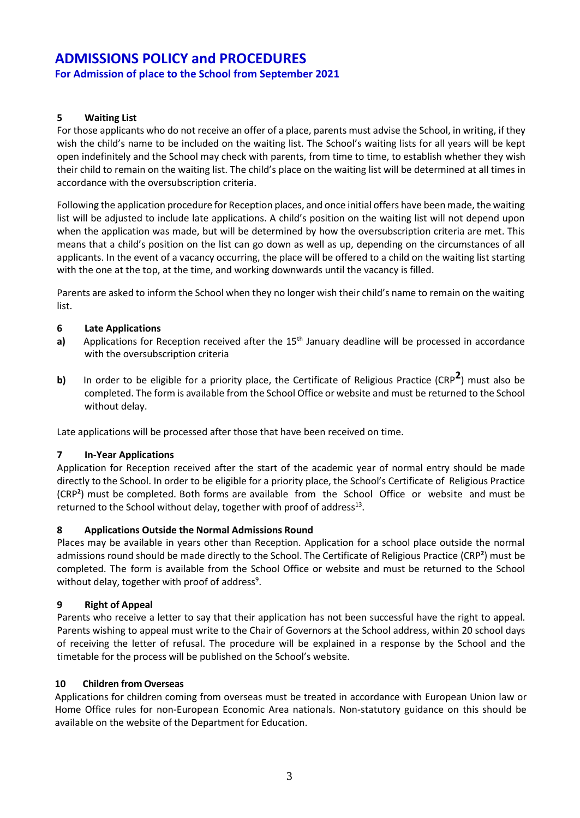**For Admission of place to the School from September 2021**

## **5 Waiting List**

For those applicants who do not receive an offer of a place, parents must advise the School, in writing, if they wish the child's name to be included on the waiting list. The School's waiting lists for all years will be kept open indefinitely and the School may check with parents, from time to time, to establish whether they wish their child to remain on the waiting list. The child's place on the waiting list will be determined at all times in accordance with the oversubscription criteria.

Following the application procedure for Reception places, and once initial offers have been made, the waiting list will be adjusted to include late applications. A child's position on the waiting list will not depend upon when the application was made, but will be determined by how the oversubscription criteria are met. This means that a child's position on the list can go down as well as up, depending on the circumstances of all applicants. In the event of a vacancy occurring, the place will be offered to a child on the waiting list starting with the one at the top, at the time, and working downwards until the vacancy is filled.

Parents are asked to inform the School when they no longer wish their child's name to remain on the waiting list.

## **6 Late Applications**

- a) Applications for Reception received after the 15<sup>th</sup> January deadline will be processed in accordance with the oversubscription criteria
- **b)** In order to be eligible for a priority place, the Certificate of Religious Practice (CRP**<sup>2</sup>** ) must also be completed. The form is available from the School Office or website and must be returned to the School without delay.

Late applications will be processed after those that have been received on time.

## **7 In-Year Applications**

Application for Reception received after the start of the academic year of normal entry should be made directly to the School. In order to be eligible for a priority place, the School's Certificate of Religious Practice (CRP**<sup>2</sup>** ) must be completed. Both forms are available from the School Office or website and must be returned to the School without delay, together with proof of address $^{13}$ .

## **8 Applications Outside the Normal Admissions Round**

Places may be available in years other than Reception. Application for a school place outside the normal admissions round should be made directly to the School. The Certificate of Religious Practice (CRP**<sup>2</sup>** ) must be completed. The form is available from the School Office or website and must be returned to the School without delay, together with proof of address<sup>9</sup>.

## **9 Right of Appeal**

Parents who receive a letter to say that their application has not been successful have the right to appeal. Parents wishing to appeal must write to the Chair of Governors at the School address, within 20 school days of receiving the letter of refusal. The procedure will be explained in a response by the School and the timetable for the process will be published on the School's website.

## **10 Children from Overseas**

Applications for children coming from overseas must be treated in accordance with European Union law or Home Office rules for non-European Economic Area nationals. Non-statutory guidance on this should be available on the website of the Department for Education.